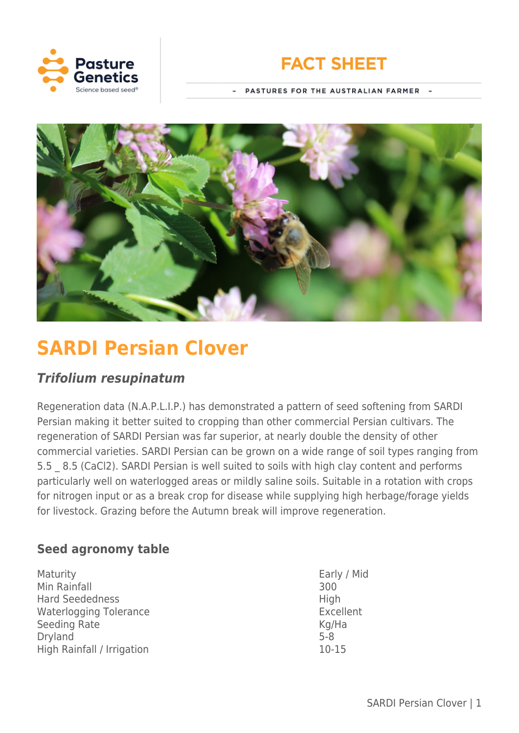



PASTURES FOR THE AUSTRALIAN FARMER -



# **SARDI Persian Clover**

# *Trifolium resupinatum*

Regeneration data (N.A.P.L.I.P.) has demonstrated a pattern of seed softening from SARDI Persian making it better suited to cropping than other commercial Persian cultivars. The regeneration of SARDI Persian was far superior, at nearly double the density of other commercial varieties. SARDI Persian can be grown on a wide range of soil types ranging from 5.5 8.5 (CaCl2). SARDI Persian is well suited to soils with high clay content and performs particularly well on waterlogged areas or mildly saline soils. Suitable in a rotation with crops for nitrogen input or as a break crop for disease while supplying high herbage/forage yields for livestock. Grazing before the Autumn break will improve regeneration.

# **Seed agronomy table**

Maturity **Early / Mid** Min Rainfall 300 Hard Seededness High High Waterlogging Tolerance Excellent Seeding Rate Kg/Ha Dryland 5-8 High Rainfall / Irrigation 10-15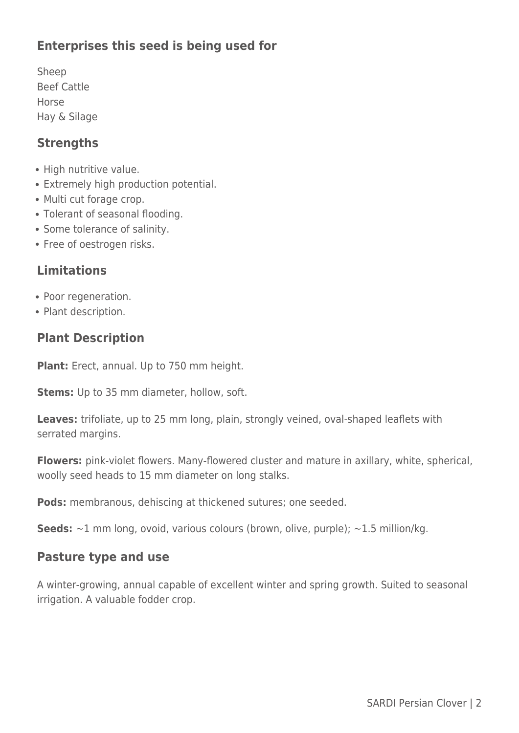# **Enterprises this seed is being used for**

Sheep Beef Cattle Horse Hay & Silage

### **Strengths**

- High nutritive value.
- Extremely high production potential.
- Multi cut forage crop.
- Tolerant of seasonal flooding.
- Some tolerance of salinity.
- Free of oestrogen risks.

## **Limitations**

- Poor regeneration.
- Plant description.

## **Plant Description**

**Plant:** Erect, annual. Up to 750 mm height.

**Stems:** Up to 35 mm diameter, hollow, soft.

Leaves: trifoliate, up to 25 mm long, plain, strongly veined, oval-shaped leaflets with serrated margins.

**Flowers:** pink-violet flowers. Many-flowered cluster and mature in axillary, white, spherical, woolly seed heads to 15 mm diameter on long stalks.

**Pods:** membranous, dehiscing at thickened sutures; one seeded.

**Seeds:** ~1 mm long, ovoid, various colours (brown, olive, purple); ~1.5 million/kg.

#### **Pasture type and use**

A winter-growing, annual capable of excellent winter and spring growth. Suited to seasonal irrigation. A valuable fodder crop.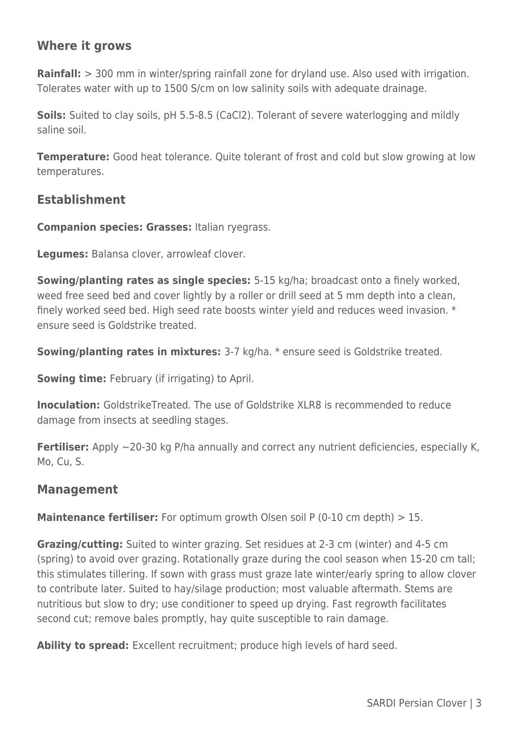## **Where it grows**

**Rainfall:** > 300 mm in winter/spring rainfall zone for dryland use. Also used with irrigation. Tolerates water with up to 1500 S/cm on low salinity soils with adequate drainage.

**Soils:** Suited to clay soils, pH 5.5-8.5 (CaCl2). Tolerant of severe waterlogging and mildly saline soil.

**Temperature:** Good heat tolerance. Quite tolerant of frost and cold but slow growing at low temperatures.

#### **Establishment**

**Companion species: Grasses:** Italian ryegrass.

**Legumes:** Balansa clover, arrowleaf clover.

**Sowing/planting rates as single species:** 5-15 kg/ha; broadcast onto a finely worked, weed free seed bed and cover lightly by a roller or drill seed at 5 mm depth into a clean, finely worked seed bed. High seed rate boosts winter yield and reduces weed invasion. \* ensure seed is Goldstrike treated.

**Sowing/planting rates in mixtures:** 3-7 kg/ha. \* ensure seed is Goldstrike treated.

**Sowing time:** February (if irrigating) to April.

**Inoculation:** GoldstrikeTreated. The use of Goldstrike XLR8 is recommended to reduce damage from insects at seedling stages.

**Fertiliser:** Apply ~20-30 kg P/ha annually and correct any nutrient deficiencies, especially K, Mo, Cu, S.

#### **Management**

**Maintenance fertiliser:** For optimum growth Olsen soil P (0-10 cm depth) > 15.

**Grazing/cutting:** Suited to winter grazing. Set residues at 2-3 cm (winter) and 4-5 cm (spring) to avoid over grazing. Rotationally graze during the cool season when 15-20 cm tall; this stimulates tillering. If sown with grass must graze late winter/early spring to allow clover to contribute later. Suited to hay/silage production; most valuable aftermath. Stems are nutritious but slow to dry; use conditioner to speed up drying. Fast regrowth facilitates second cut; remove bales promptly, hay quite susceptible to rain damage.

**Ability to spread:** Excellent recruitment; produce high levels of hard seed.